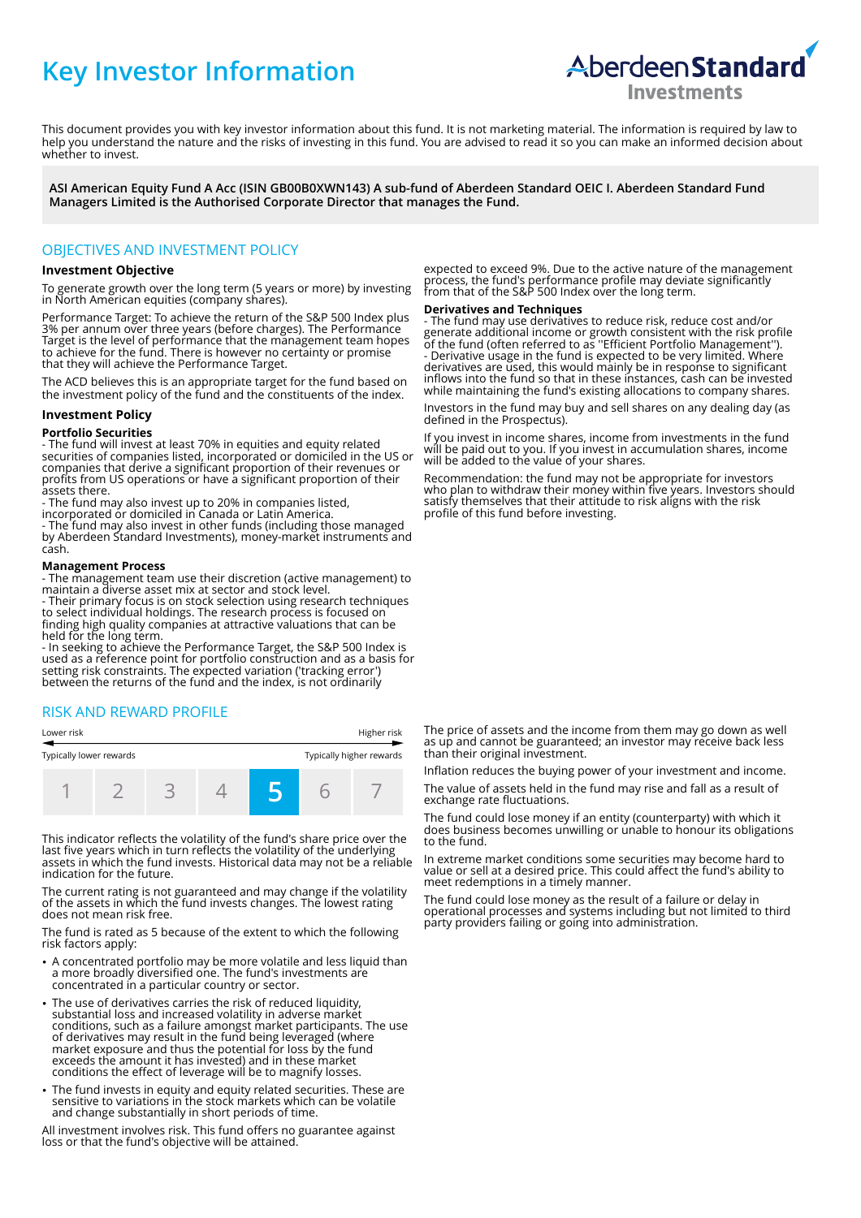# **Key Investor Information**



This document provides you with key investor information about this fund. It is not marketing material. The information is required by law to help you understand the nature and the risks of investing in this fund. You are advised to read it so you can make an informed decision about whether to invest.

**ASI American Equity Fund A Acc (ISIN GB00B0XWN143) A sub-fund of Aberdeen Standard OEIC I. Aberdeen Standard Fund Managers Limited is the Authorised Corporate Director that manages the Fund.**

# OBJECTIVES AND INVESTMENT POLICY

#### **Investment Objective**

To generate growth over the long term (5 years or more) by investing in North American equities (company shares).

Performance Target: To achieve the return of the S&P 500 Index plus 3% per annum over three years (before charges). The Performance Target is the level of performance that the management team hopes to achieve for the fund. There is however no certainty or promise that they will achieve the Performance Target.

The ACD believes this is an appropriate target for the fund based on the investment policy of the fund and the constituents of the index.

# **Investment Policy**

**Portfolio Securities**

- The fund will invest at least 70% in equities and equity related securities of companies listed, incorporated or domiciled in the US or companies that derive a significant proportion of their revenues or profits from US operations or have a significant proportion of their assets there.

- The fund may also invest up to 20% in companies listed,

incorporated or domiciled in Canada or Latin America. - The fund may also invest in other funds (including those managed by Aberdeen Standard Investments), money-market instruments and

## **Management Process**

cash.

- The management team use their discretion (active management) to maintain a diverse asset mix at sector and stock level.

- Their primary focus is on stock selection using research techniques to select individual holdings. The research process is focused on finding high quality companies at attractive valuations that can be held for the long term.

- In seeking to achieve the Performance Target, the S&P 500 Index is used as a reference point for portfolio construction and as a basis for setting risk constraints. The expected variation ('tracking error') between the returns of the fund and the index, is not ordinarily

## RISK AND REWARD PROFILE



This indicator reflects the volatility of the fund's share price over the last five years which in turn reflects the volatility of the underlying assets in which the fund invests. Historical data may not be a reliable indication for the future.

The current rating is not guaranteed and may change if the volatility of the assets in which the fund invests changes. The lowest rating does not mean risk free.

The fund is rated as 5 because of the extent to which the following risk factors apply:

- $\bullet$  A concentrated portfolio may be more volatile and less liquid than a more broadly diversified one. The fund's investments are concentrated in a particular country or sector.
- The use of derivatives carries the risk of reduced liquidity, substantial loss and increased volatility in adverse market conditions, such as a failure amongst market participants. The use of derivatives may result in the fund being leveraged (where market exposure and thus the potential for loss by the fund exceeds the amount it has invested) and in these market conditions the effect of leverage will be to magnify losses.
- The fund invests in equity and equity related securities. These are sensitive to variations in the stock markets which can be volatile and change substantially in short periods of time.

All investment involves risk. This fund offers no guarantee against loss or that the fund's objective will be attained.

expected to exceed 9%. Due to the active nature of the management process, the fund's performance profile may deviate significantly from that of the S&P 500 Index over the long term.

#### **Derivatives and Techniques**

- The fund may use derivatives to reduce risk, reduce cost and/or generate additional income or growth consistent with the risk profile of the fund (often referred to as ''Efficient Portfolio Management''). - Derivative usage in the fund is expected to be very limited. Where derivatives are used, this would mainly be in response to significant inflows into the fund so that in these instances, cash can be invested while maintaining the fund's existing allocations to company shares.

Investors in the fund may buy and sell shares on any dealing day (as defined in the Prospectus).

If you invest in income shares, income from investments in the fund will be paid out to you. If you invest in accumulation shares, income will be added to the value of your shares.

Recommendation: the fund may not be appropriate for investors who plan to withdraw their money within five years. Investors should satisfy themselves that their attitude to risk aligns with the risk profile of this fund before investing.

The price of assets and the income from them may go down as well as up and cannot be guaranteed; an investor may receive back less than their original investment.

Inflation reduces the buying power of your investment and income.

The value of assets held in the fund may rise and fall as a result of exchange rate fluctuations.

The fund could lose money if an entity (counterparty) with which it does business becomes unwilling or unable to honour its obligations to the fund.

In extreme market conditions some securities may become hard to value or sell at a desired price. This could affect the fund's ability to meet redemptions in a timely manner.

The fund could lose money as the result of a failure or delay in operational processes and systems including but not limited to third party providers failing or going into administration.